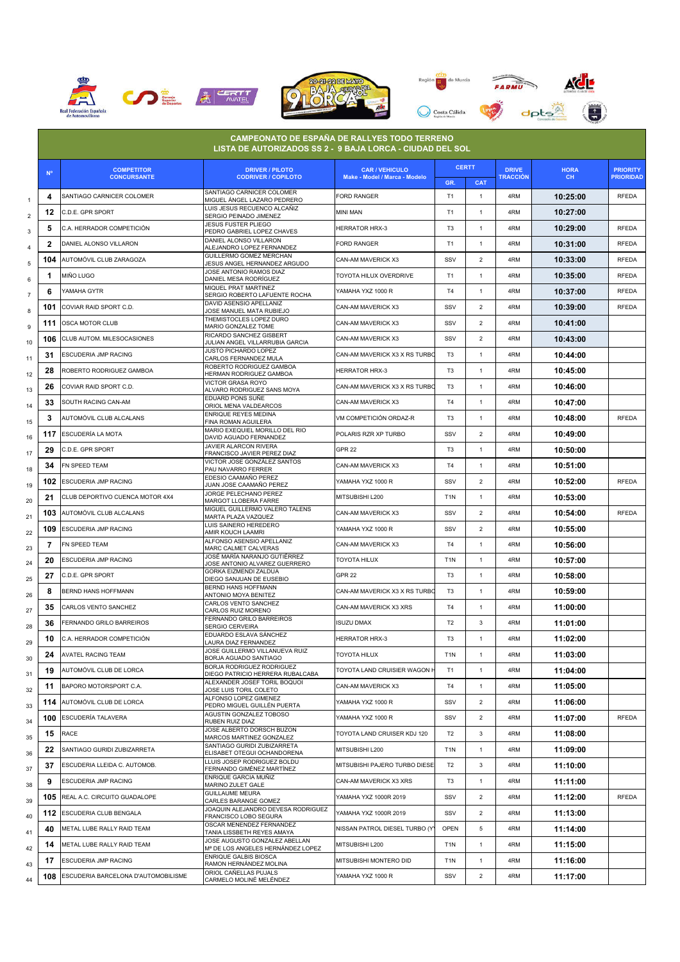







e. an di Kabupatén Band

|                           |              | <b>COMPETITOR</b>                   | <b>CAMPEONATO DE ESPAÑA DE RALLYES TODO TERRENO</b><br>LISTA DE AUTORIZADOS SS 2 - 9 BAJA LORCA - CIUDAD DEL SOL<br><b>DRIVER / PILOTO</b> | <b>CAR / VEHICULO</b>         | <b>CERTT</b>     |                | <b>DRIVE</b>    | <b>HORA</b> | <b>PRIORITY</b>  |
|---------------------------|--------------|-------------------------------------|--------------------------------------------------------------------------------------------------------------------------------------------|-------------------------------|------------------|----------------|-----------------|-------------|------------------|
|                           | $N^{\circ}$  | <b>CONCURSANTE</b>                  | <b>CODRIVER / COPILOTO</b>                                                                                                                 | Make - Model / Marca - Modelo | GR.              | <b>CAT</b>     | <b>TRACCIÓN</b> | CH.         | <b>PRIORIDAD</b> |
| $\mathbf{1}$              | 4            | SANTIAGO CARNICER COLOMER           | SANTIAGO CARNICER COLOMER<br>MIGUEL ÁNGEL LAZARO PEDRERO                                                                                   | <b>FORD RANGER</b>            | T <sub>1</sub>   | 1              | 4RM             | 10:25:00    | <b>RFEDA</b>     |
| $\overline{2}$            | 12           | C.D.E. GPR SPORT                    | LUIS JESUS RECUENCO ALCAÑIZ<br>SERGIO PEINADO JIMENEZ                                                                                      | mini man                      | T <sub>1</sub>   | $\mathbf{1}$   | 4RM             | 10:27:00    |                  |
| $\ensuremath{\mathsf{3}}$ | 5            | C.A. HERRADOR COMPETICIÓN           | <b>JESUS FUSTER PLIEGO</b><br>PEDRO GABRIEL LOPEZ CHAVES                                                                                   | <b>HERRATOR HRX-3</b>         | T <sub>3</sub>   | $\mathbf{1}$   | 4RM             | 10:29:00    | <b>RFEDA</b>     |
| 4                         | $\mathbf{2}$ | DANIEL ALONSO VILLARON              | DANIEL ALONSO VILLARON<br>ALEJANDRO LOPEZ FERNANDEZ                                                                                        | <b>FORD RANGER</b>            | T1               | $\mathbf{1}$   | 4RM             | 10:31:00    | <b>RFEDA</b>     |
| 5                         | 104          | AUTOMÓVIL CLUB ZARAGOZA             | GUILLERMO GOMEZ MERCHAN<br>JESUS ANGEL HERNANDEZ ARGUDO                                                                                    | CAN-AM MAVERICK X3            | SSV              | $\overline{2}$ | 4RM             | 10:33:00    | <b>RFEDA</b>     |
| 6                         | 1            | miño lugo                           | JOSE ANTONIO RAMOS DIAZ<br>DANIEL MESA RODRÍGUEZ                                                                                           | TOYOTA HILUX OVERDRIVE        | T <sub>1</sub>   | $\mathbf{1}$   | 4RM             | 10:35:00    | <b>RFEDA</b>     |
| $\overline{7}$            | 6            | YAMAHA GYTR                         | MIQUEL PRAT MARTINEZ                                                                                                                       | YAMAHA YXZ 1000 R             | T <sub>4</sub>   | $\mathbf{1}$   | 4RM             | 10:37:00    | <b>RFEDA</b>     |
| 8                         | 101          | COVIAR RAID SPORT C.D.              | SERGIO ROBERTO LAFUENTE ROCHA<br>DAVID ASENSIO APELLANIZ                                                                                   | CAN-AM MAVERICK X3            | SSV              | $\overline{2}$ | 4RM             | 10:39:00    | <b>RFEDA</b>     |
|                           | 111          | OSCA MOTOR CLUB                     | JOSE MANUEL MATA RUBIEJO<br>THEMISTOCLES LOPEZ DURO                                                                                        | CAN-AM MAVERICK X3            | SSV              | $\overline{2}$ | 4RM             | 10:41:00    |                  |
| 9                         | 106          | CLUB AUTOM. MILESOCASIONES          | MARIO GONZALEZ TOME<br>RICARDO SANCHEZ GISBERT                                                                                             | CAN-AM MAVERICK X3            | SSV              | $\overline{2}$ | 4RM             | 10:43:00    |                  |
| 10                        | 31           | ESCUDERIA JMP RACING                | JULIAN ANGEL VILLARRUBIA GARCIA<br>JUSTO PICHARDO LOPEZ                                                                                    | CAN-AM MAVERICK X3 X RS TURBC | T <sub>3</sub>   | 1              | 4RM             | 10:44:00    |                  |
| 11                        | 28           | ROBERTO RODRIGUEZ GAMBOA            | CARLOS FERNANDEZ MULA<br>ROBERTO RODRIGUEZ GAMBOA                                                                                          | <b>HERRATOR HRX-3</b>         | T <sub>3</sub>   | $\mathbf{1}$   | 4RM             | 10:45:00    |                  |
| 12                        | 26           | COVIAR RAID SPORT C.D.              | HERMAN RODRIGUEZ GAMBOA<br>VICTOR GRASA ROYO                                                                                               | CAN-AM MAVERICK X3 X RS TURBO | T <sub>3</sub>   | $\mathbf{1}$   | 4RM             | 10:46:00    |                  |
| 13                        | 33           | SOUTH RACING CAN-AM                 | ALVARO RODRIGUEZ SANS MOYA<br>EDUARD PONS SUÑE                                                                                             | CAN-AM MAVERICK X3            | T <sub>4</sub>   | $\mathbf{1}$   | 4RM             | 10:47:00    |                  |
| 14                        | 3            | AUTOMÓVIL CLUB ALCALANS             | ORIOL MENA VALDEARCOS<br>ENRIQUE REYES MEDINA                                                                                              | VM COMPETICIÓN ORDAZ-R        | T <sub>3</sub>   | $\mathbf{1}$   | 4RM             | 10:48:00    | <b>RFEDA</b>     |
| 15                        |              | ESCUDERÍA LA MOTA                   | FINA ROMAN AGUILERA<br>MARIO EXEQUIEL MORILLO DEL RIO                                                                                      | POLARIS RZR XP TURBO          | SSV              | $\overline{2}$ | 4RM             | 10:49:00    |                  |
| 16                        | 117          | C.D.E. GPR SPORT                    | DAVID AGUADO FERNANDEZ<br>JAVIER ALARCON RIVERA                                                                                            | GPR <sub>22</sub>             | T <sub>3</sub>   |                |                 |             |                  |
| 17                        | 29           |                                     | FRANCISCO JAVIER PEREZ DIAZ<br>VICTOR JOSE GONZÁLEZ SANTOS                                                                                 |                               |                  | $\mathbf{1}$   | 4RM             | 10:50:00    |                  |
| 18                        | 34           | FN SPEED TEAM                       | PAU NAVARRO FERRER<br>EDESIO CAAMAÑO PEREZ                                                                                                 | CAN-AM MAVERICK X3            | T <sub>4</sub>   | $\mathbf{1}$   | 4RM             | 10:51:00    |                  |
| 19                        | 102          | ESCUDERIA JMP RACING                | JUAN JOSE CAAMAÑO PEREZ<br>JORGE PELECHANO PEREZ                                                                                           | YAMAHA YXZ 1000 R             | SSV              | $\overline{2}$ | 4RM             | 10:52:00    | <b>RFEDA</b>     |
| 20                        | 21           | CLUB DEPORTIVO CUENCA MOTOR 4X4     | MARGOT LLOBERA FARRE<br>MIGUEL GUILLERMO VALERO TALENS                                                                                     | MITSUBISHI L200               | T <sub>1</sub> N | $\mathbf{1}$   | 4RM             | 10:53:00    |                  |
| 21                        | 103          | AUTOMÓVIL CLUB ALCALANS             | MARTA PLAZA VAZQUEZ<br>LUIS SAINERO HEREDERO                                                                                               | CAN-AM MAVERICK X3            | SSV              | $\overline{2}$ | 4RM             | 10:54:00    | RFEDA            |
| 22                        | 109          | ESCUDERIA JMP RACING                | AMIR KOUCH LAAMRI<br>ALFONSO ASENSIO APELLANIZ                                                                                             | YAMAHA YXZ 1000 R             | SSV              | $\overline{2}$ | 4RM             | 10:55:00    |                  |
| 23                        | 7            | FN SPEED TEAM                       | MARC CALMET CALVERAS<br>JOSÉ MARÍA NARANJO GUTIÉRREZ                                                                                       | CAN-AM MAVERICK X3            | T <sub>4</sub>   | $\mathbf{1}$   | 4RM             | 10:56:00    |                  |
| 24                        | 20           | ESCUDERIA JMP RACING                | JOSE ANTONIO ALVAREZ GUERRERO<br>GORKA EIZMENDI ZALDUA                                                                                     | <b>TOYOTA HILUX</b>           | T <sub>1</sub> N | $\mathbf{1}$   | 4RM             | 10:57:00    |                  |
| 25                        | 27           | C.D.E. GPR SPORT                    | DIEGO SANJUAN DE EUSEBIO<br><b>BERND HANS HOFFMANN</b>                                                                                     | <b>GPR 22</b>                 | T <sub>3</sub>   | $\mathbf{1}$   | 4RM             | 10:58:00    |                  |
| 26                        | 8            | BERND HANS HOFFMANN                 | ANTONIO MOYA BENITEZ<br>CARLOS VENTO SANCHEZ                                                                                               | CAN-AM MAVERICK X3 X RS TURBC | T <sub>3</sub>   | $\mathbf{1}$   | 4RM             | 10:59:00    |                  |
| 27                        | 35           | CARLOS VENTO SANCHEZ                | CARLOS RUIZ MORENO                                                                                                                         | CAN-AM MAVERICK X3 XRS        | T <sub>4</sub>   | $\mathbf{1}$   | 4RM             | 11:00:00    |                  |
| 28                        | 36           | FERNANDO GRILO BARREIROS            | FERNANDO GRILO BARREIROS<br>SERGIO CERVEIRA                                                                                                | ISUZU DMAX                    | T <sub>2</sub>   | 3              | 4RM             | 11:01:00    |                  |
| 29                        | 10           | C.A. HERRADOR COMPETICIÓN           | EDUARDO ESLAVA SÁNCHEZ<br><b>AURA DIAZ FERNANDEZ</b>                                                                                       | <b>HERRATOR HRX-3</b>         | T <sub>3</sub>   | 1              | 4RM             | 11:02:00    |                  |
| 30                        | 24           | <b>AVATEL RACING TEAM</b>           | JOSE GUILLERMO VILLANUEVA RUIZ<br>BORJA AGUADO SANTIAGO                                                                                    | <b>TOYOTA HILUX</b>           | T <sub>1</sub> N | $\mathbf{1}$   | 4RM             | 11:03:00    |                  |
| 31                        | 19           | AUTOMÓVIL CLUB DE LORCA             | BORJA RODRIGUEZ RODRIGUEZ<br>DIEGO PATRICIO HERRERA RUBALCABA                                                                              | TOYOTA LAND CRUISIER WAGON I  | T1               | $\mathbf{1}$   | 4RM             | 11:04:00    |                  |
| 32                        | 11           | BAPORO MOTORSPORT C.A.              | ALEXANDER JOSEF TORIL BOQUOI<br>JOSE LUIS TORIL COLETO                                                                                     | CAN-AM MAVERICK X3            | T <sub>4</sub>   | $\mathbf{1}$   | 4RM             | 11:05:00    |                  |
| 33                        | 114          | AUTOMÓVIL CLUB DE LORCA             | ALFONSO LOPEZ GIMENEZ<br>PEDRO MIGUEL GUILLÉN PUERTA                                                                                       | YAMAHA YXZ 1000 R             | SSV              | $\overline{2}$ | 4RM             | 11:06:00    |                  |
| 34                        | 100          | ESCUDERÍA TALAVERA                  | AGUSTIN GONZALEZ TOBOSO<br>RUBEN RUIZ DIAZ                                                                                                 | YAMAHA YXZ 1000 R             | SSV              | $\overline{2}$ | 4RM             | 11:07:00    | <b>RFEDA</b>     |
| 35                        | 15           | RACE                                | JOSE ALBERTO DORSCH BUZON<br>MARCOS MARTINEZ GONZALEZ                                                                                      | TOYOTA LAND CRUISER KDJ 120   | T <sub>2</sub>   | 3              | 4RM             | 11:08:00    |                  |
| 36                        | 22           | SANTIAGO GURIDI ZUBIZARRETA         | SANTIAGO GURIDI ZUBIZARRETA<br>ELISABET OTEGUI OCHANDORENA                                                                                 | MITSUBISHI L200               | T <sub>1</sub> N | $\mathbf{1}$   | 4RM             | 11:09:00    |                  |
| 37                        | 37           | ESCUDERIA LLEIDA C. AUTOMOB.        | LLUIS JOSEP RODRIGUEZ BOLDU<br>FERNANDO GIMÉNEZ MARTÍNEZ                                                                                   | MITSUBISHI PAJERO TURBO DIESE | T <sub>2</sub>   | 3              | 4RM             | 11:10:00    |                  |
| 38                        | 9            | ESCUDERIA JMP RACING                | ENRIQUE GARCIA MUÑIZ<br>MARINO ZULET GALE                                                                                                  | CAN-AM MAVERICK X3 XRS        | T <sub>3</sub>   | 1              | 4RM             | 11:11:00    |                  |
| 39                        | 105          | REAL A.C. CIRCUITO GUADALOPE        | <b>GUILLAUME MEURA</b><br>CARLES BARANGE GOMEZ                                                                                             | YAMAHA YXZ 1000R 2019         | SSV              | $\overline{2}$ | 4RM             | 11:12:00    | RFEDA            |
| 40                        | 112          | ESCUDERIA CLUB BENGALA              | JOAQUIN ALEJANDRO DEVESA RODRIGUEZ<br>FRANCISCO LOBO SEGURA                                                                                | YAMAHA YXZ 1000R 2019         | SSV              | $\overline{2}$ | 4RM             | 11:13:00    |                  |
| 41                        | 40           | METAL LUBE RALLY RAID TEAM          | OSCAR MENENDEZ FERNANDEZ<br>TANIA LISSBETH REYES AMAYA                                                                                     | NISSAN PATROL DIESEL TURBO (Y | <b>OPEN</b>      | 5              | 4RM             | 11:14:00    |                  |
| 42                        | 14           | METAL LUBE RALLY RAID TEAM          | JOSE AUGUSTO GONZALEZ ABELLAN<br>Mª DE LOS ANGELES HERNÁNDEZ LOPEZ                                                                         | MITSUBISHI L200               | T <sub>1</sub> N | 1              | 4RM             | 11:15:00    |                  |
| 43                        | 17           | ESCUDERIA JMP RACING                | <b>ENRIQUE GALBIS BIOSCA</b><br>RAMON HERNÁNDEZ MOLINA                                                                                     | MITSUBISHI MONTERO DID        | T <sub>1</sub> N | $\mathbf{1}$   | 4RM             | 11:16:00    |                  |
| 44                        | 108          | ESCUDERIA BARCELONA D'AUTOMOBILISME | ORIOL CAÑELLAS PUJALS<br>CARMELO MOLINÉ MELÉNDEZ                                                                                           | YAMAHA YXZ 1000 R             | SSV              | $\overline{2}$ | 4RM             | 11:17:00    |                  |
|                           |              |                                     |                                                                                                                                            |                               |                  |                |                 |             |                  |